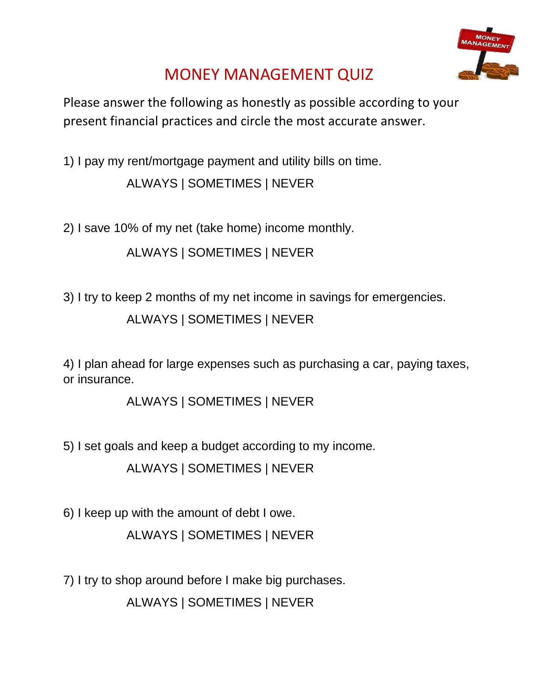

## MONEY MANAGEMENT QUIZ

Please answer the following as honestly as possible according to your present financial practices and circle the most accurate answer.

1) I pay my rent/mortgage payment and utility bills on time. ALWAYS | SOMETIMES | NEVER

2) I save 10% of my net (take home) income monthly.

ALWAYS | SOMETIMES | NEVER

3) I try to keep 2 months of my net income in savings for emergencies.

ALWAYS | SOMETIMES | NEVER

4) I plan ahead for large expenses such as purchasing a car, paying taxes, or insurance.

ALWAYS | SOMETIMES | NEVER

5) I set goals and keep a budget according to my income.

ALWAYS | SOMETIMES | NEVER

6) I keep up with the amount of debt I owe.

ALWAYS | SOMETIMES | NEVER

7) I try to shop around before I make big purchases.

ALWAYS | SOMETIMES | NEVER